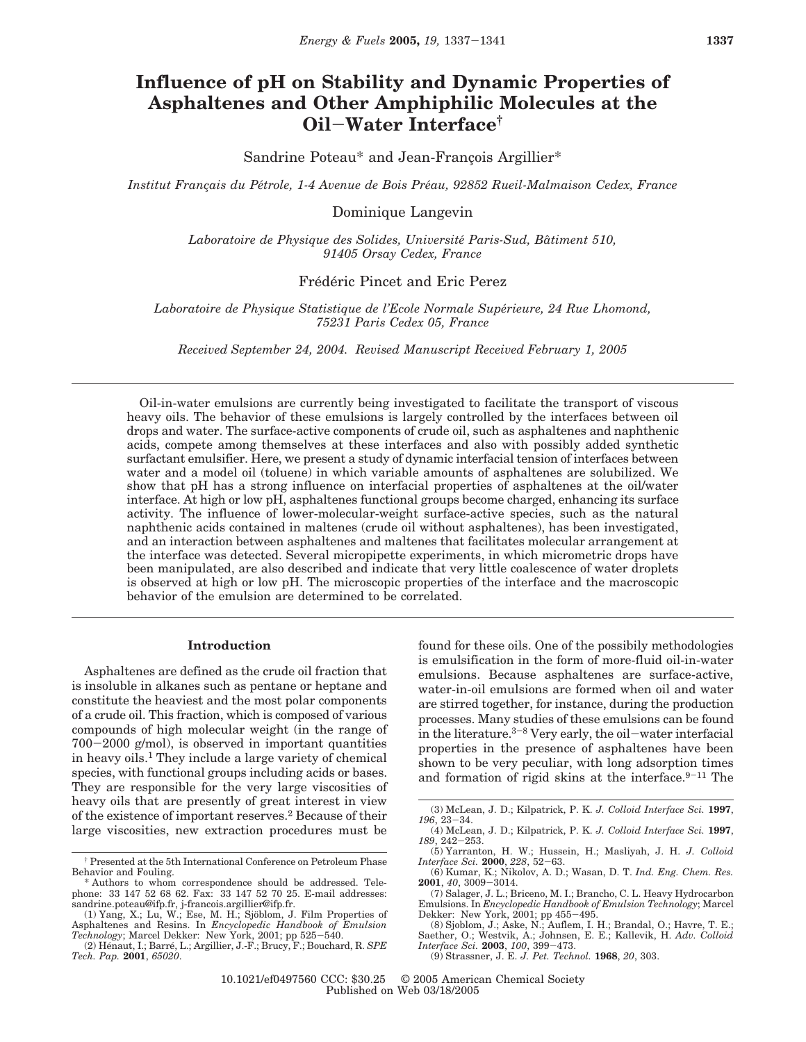# **Influence of pH on Stability and Dynamic Properties of Asphaltenes and Other Amphiphilic Molecules at the Oil**-**Water Interface†**

Sandrine Poteau\* and Jean-Francois Argillier\*

*Institut Franc*¸*ais du Pe*´*trole, 1-4 Avenue de Bois Pre*´*au, 92852 Rueil-Malmaison Cedex, France*

# Dominique Langevin

*Laboratoire de Physique des Solides, Universite*´ *Paris-Sud, Ba*ˆ*timent 510, 91405 Orsay Cedex, France*

# Frédéric Pincet and Eric Perez

*Laboratoire de Physique Statistique de l'Ecole Normale Supe*´*rieure, 24 Rue Lhomond, 75231 Paris Cedex 05, France*

*Received September 24, 2004. Revised Manuscript Received February 1, 2005*

Oil-in-water emulsions are currently being investigated to facilitate the transport of viscous heavy oils. The behavior of these emulsions is largely controlled by the interfaces between oil drops and water. The surface-active components of crude oil, such as asphaltenes and naphthenic acids, compete among themselves at these interfaces and also with possibly added synthetic surfactant emulsifier. Here, we present a study of dynamic interfacial tension of interfaces between water and a model oil (toluene) in which variable amounts of asphaltenes are solubilized. We show that pH has a strong influence on interfacial properties of asphaltenes at the oil/water interface. At high or low pH, asphaltenes functional groups become charged, enhancing its surface activity. The influence of lower-molecular-weight surface-active species, such as the natural naphthenic acids contained in maltenes (crude oil without asphaltenes), has been investigated, and an interaction between asphaltenes and maltenes that facilitates molecular arrangement at the interface was detected. Several micropipette experiments, in which micrometric drops have been manipulated, are also described and indicate that very little coalescence of water droplets is observed at high or low pH. The microscopic properties of the interface and the macroscopic behavior of the emulsion are determined to be correlated.

### **Introduction**

Asphaltenes are defined as the crude oil fraction that is insoluble in alkanes such as pentane or heptane and constitute the heaviest and the most polar components of a crude oil. This fraction, which is composed of various compounds of high molecular weight (in the range of <sup>700</sup>-2000 g/mol), is observed in important quantities in heavy oils.<sup>1</sup> They include a large variety of chemical species, with functional groups including acids or bases. They are responsible for the very large viscosities of heavy oils that are presently of great interest in view of the existence of important reserves.2 Because of their large viscosities, new extraction procedures must be

found for these oils. One of the possibily methodologies is emulsification in the form of more-fluid oil-in-water emulsions. Because asphaltenes are surface-active, water-in-oil emulsions are formed when oil and water are stirred together, for instance, during the production processes. Many studies of these emulsions can be found in the literature. $3-8$  Very early, the oil-water interfacial properties in the presence of asphaltenes have been shown to be very peculiar, with long adsorption times and formation of rigid skins at the interface. $9-11$  The

<sup>†</sup> Presented at the 5th International Conference on Petroleum Phase Behavior and Fouling.

<sup>\*</sup> Authors to whom correspondence should be addressed. Telephone: 33 147 52 68 62. Fax: 33 147 52 70 25. E-mail addresses:

sandrine.poteau@ifp.fr, j-francois.argillier@ifp.fr.<br>(1) Yang, X.; Lu, W.; Ese, M. H.; Sjöblom, J. Film Properties of Asphaltenes and Resins. In *Encyclopedic Handbook of Emulsion Technology*; Marcel Dekker: New York, 2001; pp 525-540.

<sup>(2)</sup> He´naut, I.; Barre´, L.; Argillier, J.-F.; Brucy, F.; Bouchard, R. *SPE Tech. Pap.* **2001**, *65020*.

<sup>(3)</sup> McLean, J. D.; Kilpatrick, P. K. *J. Colloid Interface Sci.* **1997**, *<sup>196</sup>*, 23-34. (4) McLean, J. D.; Kilpatrick, P. K. *J. Colloid Interface Sci.* **1997**,

*<sup>189</sup>*, 242-253.

<sup>(5)</sup> Yarranton, H. W.; Hussein, H.; Masliyah, J. H. *J. Colloid Interface Sci.* **<sup>2000</sup>**, *<sup>228</sup>*, 52-63.

<sup>(6)</sup> Kumar, K.; Nikolov, A. D.; Wasan, D. T. *Ind. Eng. Chem. Res.* **<sup>2001</sup>**, *<sup>40</sup>*, 3009-3014. (7) Salager, J. L.; Briceno, M. I.; Brancho, C. L. Heavy Hydrocarbon

Emulsions. In *Encyclopedic Handbook of Emulsion Technology*; Marcel

Dekker: New York, 2001; pp 455-495. (8) Sjoblom, J.; Aske, N.; Auflem, I. H.; Brandal, O.; Havre, T. E.; Saether, O.; Westvik, A.; Johnsen, E. E.; Kallevik, H. *Adv. Colloid Interface Sci.* **<sup>2003</sup>**, *<sup>100</sup>*, 399-473.

<sup>(9)</sup> Strassner, J. E. *J. Pet. Technol.* **1968**, *20*, 303.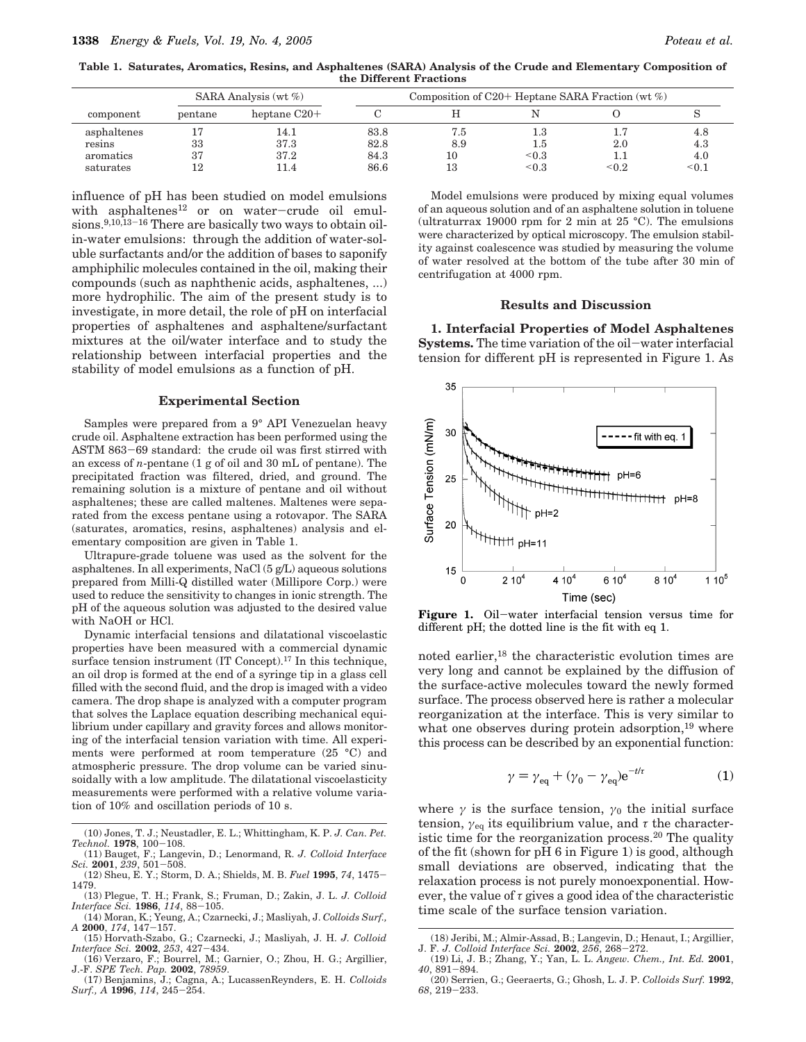**Table 1. Saturates, Aromatics, Resins, and Asphaltenes (SARA) Analysis of the Crude and Elementary Composition of the Different Fractions**

|                        |          | SARA Analysis (wt $\%$ ) | Composition of C20+ Heptane SARA Fraction $(\forall x \in \mathcal{D})$ |            |                            |       |              |
|------------------------|----------|--------------------------|-------------------------------------------------------------------------|------------|----------------------------|-------|--------------|
| component              | pentane  | heptane $C20+$           |                                                                         |            |                            |       |              |
| asphaltenes<br>resins  | 33       | 14.1<br>37.3             | 83.8<br>82.8                                                            | 7.5<br>8.9 | $_{1.3}$<br>d.L            | 2.0   | 4.8<br>4.3   |
| aromatics<br>saturates | 37<br>12 | 37.2<br>11.4             | 84.3<br>86.6                                                            | 10<br>13   | ${}^{<0.3}$<br>${}^{<0.3}$ | < 0.2 | 4.0<br>< 0.1 |

influence of pH has been studied on model emulsions with asphaltenes<sup>12</sup> or on water-crude oil emulsions.<sup>9,10,13-16</sup> There are basically two ways to obtain oilin-water emulsions: through the addition of water-soluble surfactants and/or the addition of bases to saponify amphiphilic molecules contained in the oil, making their compounds (such as naphthenic acids, asphaltenes, ...) more hydrophilic. The aim of the present study is to investigate, in more detail, the role of pH on interfacial properties of asphaltenes and asphaltene/surfactant mixtures at the oil/water interface and to study the relationship between interfacial properties and the stability of model emulsions as a function of pH.

#### **Experimental Section**

Samples were prepared from a 9° API Venezuelan heavy crude oil. Asphaltene extraction has been performed using the ASTM 863-69 standard: the crude oil was first stirred with an excess of *n*-pentane (1 g of oil and 30 mL of pentane). The precipitated fraction was filtered, dried, and ground. The remaining solution is a mixture of pentane and oil without asphaltenes; these are called maltenes. Maltenes were separated from the excess pentane using a rotovapor. The SARA (saturates, aromatics, resins, asphaltenes) analysis and elementary composition are given in Table 1.

Ultrapure-grade toluene was used as the solvent for the asphaltenes. In all experiments, NaCl (5 g/L) aqueous solutions prepared from Milli-Q distilled water (Millipore Corp.) were used to reduce the sensitivity to changes in ionic strength. The pH of the aqueous solution was adjusted to the desired value with NaOH or HCl.

Dynamic interfacial tensions and dilatational viscoelastic properties have been measured with a commercial dynamic surface tension instrument (IT Concept).<sup>17</sup> In this technique, an oil drop is formed at the end of a syringe tip in a glass cell filled with the second fluid, and the drop is imaged with a video camera. The drop shape is analyzed with a computer program that solves the Laplace equation describing mechanical equilibrium under capillary and gravity forces and allows monitoring of the interfacial tension variation with time. All experiments were performed at room temperature (25 °C) and atmospheric pressure. The drop volume can be varied sinusoidally with a low amplitude. The dilatational viscoelasticity measurements were performed with a relative volume variation of 10% and oscillation periods of 10 s.

- (10) Jones, T. J.; Neustadler, E. L.; Whittingham, K. P. *J. Can. Pet. Technol.* **<sup>1978</sup>**, 100-108. (11) Bauget, F.; Langevin, D.; Lenormand, R. *J. Colloid Interface*
- *Sci.* **<sup>2001</sup>**, *<sup>239</sup>*, 501-508.
- (12) Sheu, E. Y.; Storm, D. A.; Shields, M. B. *Fuel* **<sup>1995</sup>**, *<sup>74</sup>*, 1475- 1479.
- (13) Plegue, T. H.; Frank, S.; Fruman, D.; Zakin, J. L. *J. Colloid Interface Sci.* **<sup>1986</sup>**, *<sup>114</sup>*, 88-105.
- (14) Moran, K.; Yeung, A.; Czarnecki, J.; Masliyah, J. *Colloids Surf., <sup>A</sup>* **<sup>2000</sup>**, *<sup>174</sup>*, 147-157.
- (15) Horvath-Szabo, G.; Czarnecki, J.; Masliyah, J. H. *J. Colloid Interface Sci.* **<sup>2002</sup>**, *<sup>253</sup>*, 427-434.
- (16) Verzaro, F.; Bourrel, M.; Garnier, O.; Zhou, H. G.; Argillier, J.-F. *SPE Tech. Pap.* **2002**, *78959*.
- (17) Benjamins, J.; Cagna, A.; LucassenReynders, E. H. *Colloids Surf., A* **<sup>1996</sup>**, *<sup>114</sup>*, 245-254.

Model emulsions were produced by mixing equal volumes of an aqueous solution and of an asphaltene solution in toluene (ultraturrax 19000 rpm for 2 min at 25 °C). The emulsions were characterized by optical microscopy. The emulsion stability against coalescence was studied by measuring the volume of water resolved at the bottom of the tube after 30 min of centrifugation at 4000 rpm.

#### **Results and Discussion**

**1. Interfacial Properties of Model Asphaltenes Systems.** The time variation of the oil-water interfacial tension for different pH is represented in Figure 1. As



**Figure 1.** Oil-water interfacial tension versus time for different pH; the dotted line is the fit with eq 1.

noted earlier,18 the characteristic evolution times are very long and cannot be explained by the diffusion of the surface-active molecules toward the newly formed surface. The process observed here is rather a molecular reorganization at the interface. This is very similar to what one observes during protein adsorption,<sup>19</sup> where this process can be described by an exponential function:

$$
\gamma = \gamma_{\text{eq}} + (\gamma_0 - \gamma_{\text{eq}}) e^{-t/\tau} \tag{1}
$$

where  $\gamma$  is the surface tension,  $\gamma_0$  the initial surface tension,  $\gamma_{\text{eq}}$  its equilibrium value, and  $\tau$  the characteristic time for the reorganization process.<sup>20</sup> The quality of the fit (shown for pH 6 in Figure 1) is good, although small deviations are observed, indicating that the relaxation process is not purely monoexponential. However, the value of *τ* gives a good idea of the characteristic time scale of the surface tension variation.

<sup>(18)</sup> Jeribi, M.; Almir-Assad, B.; Langevin, D.; Henaut, I.; Argillier, J. F. *J. Colloid Interface Sci.* **<sup>2002</sup>**, *<sup>256</sup>*, 268-272.

<sup>(19)</sup> Li, J. B.; Zhang, Y.; Yan, L. L. *Angew. Chem., Int. Ed.* **2001**, *<sup>40</sup>*, 891-894.

<sup>(20)</sup> Serrien, G.; Geeraerts, G.; Ghosh, L. J. P. *Colloids Surf.* **1992**, *<sup>68</sup>*, 219-233.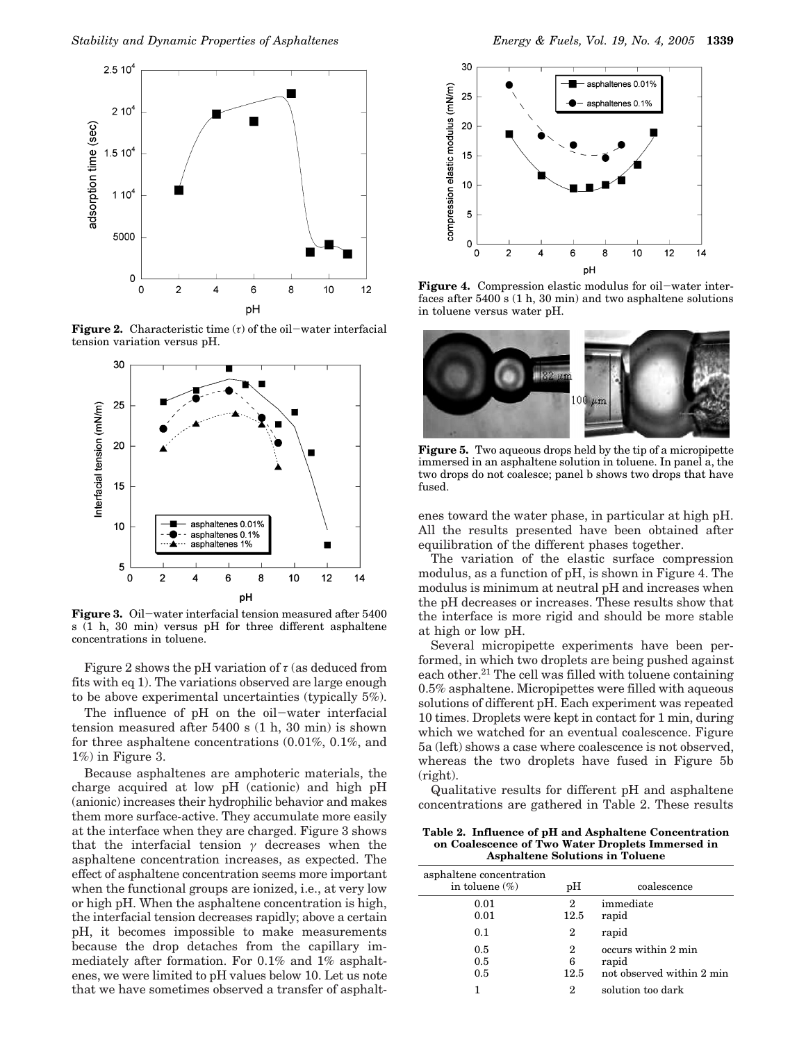

**Figure 2.** Characteristic time  $(τ)$  of the oil-water interfacial tension variation versus pH.



**Figure 3.** Oil-water interfacial tension measured after 5400 s (1 h, 30 min) versus pH for three different asphaltene concentrations in toluene.

Figure 2 shows the pH variation of  $\tau$  (as deduced from fits with eq 1). The variations observed are large enough to be above experimental uncertainties (typically 5%).

The influence of pH on the oil-water interfacial tension measured after 5400 s (1 h, 30 min) is shown for three asphaltene concentrations (0.01%, 0.1%, and 1%) in Figure 3.

Because asphaltenes are amphoteric materials, the charge acquired at low pH (cationic) and high pH (anionic) increases their hydrophilic behavior and makes them more surface-active. They accumulate more easily at the interface when they are charged. Figure 3 shows that the interfacial tension  $\gamma$  decreases when the asphaltene concentration increases, as expected. The effect of asphaltene concentration seems more important when the functional groups are ionized, i.e., at very low or high pH. When the asphaltene concentration is high, the interfacial tension decreases rapidly; above a certain pH, it becomes impossible to make measurements because the drop detaches from the capillary immediately after formation. For 0.1% and 1% asphaltenes, we were limited to pH values below 10. Let us note that we have sometimes observed a transfer of asphalt-



**Figure 4.** Compression elastic modulus for oil-water interfaces after 5400 s (1 h, 30 min) and two asphaltene solutions in toluene versus water pH.



**Figure 5.** Two aqueous drops held by the tip of a micropipette immersed in an asphaltene solution in toluene. In panel a, the two drops do not coalesce; panel b shows two drops that have fused.

enes toward the water phase, in particular at high pH. All the results presented have been obtained after equilibration of the different phases together.

The variation of the elastic surface compression modulus, as a function of pH, is shown in Figure 4. The modulus is minimum at neutral pH and increases when the pH decreases or increases. These results show that the interface is more rigid and should be more stable at high or low pH.

Several micropipette experiments have been performed, in which two droplets are being pushed against each other.<sup>21</sup> The cell was filled with toluene containing 0.5% asphaltene. Micropipettes were filled with aqueous solutions of different pH. Each experiment was repeated 10 times. Droplets were kept in contact for 1 min, during which we watched for an eventual coalescence. Figure 5a (left) shows a case where coalescence is not observed, whereas the two droplets have fused in Figure 5b (right).

Qualitative results for different pH and asphaltene concentrations are gathered in Table 2. These results

**Table 2. Influence of pH and Asphaltene Concentration on Coalescence of Two Water Droplets Immersed in Asphaltene Solutions in Toluene**

| asphaltene concentration<br>in toluene $(\%)$ | pH             | coalescence                                               |
|-----------------------------------------------|----------------|-----------------------------------------------------------|
| 0.01<br>0.01                                  | 2<br>12.5      | immediate<br>rapid                                        |
| 0.1                                           | 2              | rapid                                                     |
| 0.5<br>0.5<br>0.5                             | 2<br>6<br>12.5 | occurs within 2 min<br>rapid<br>not observed within 2 min |
|                                               | 2              | solution too dark                                         |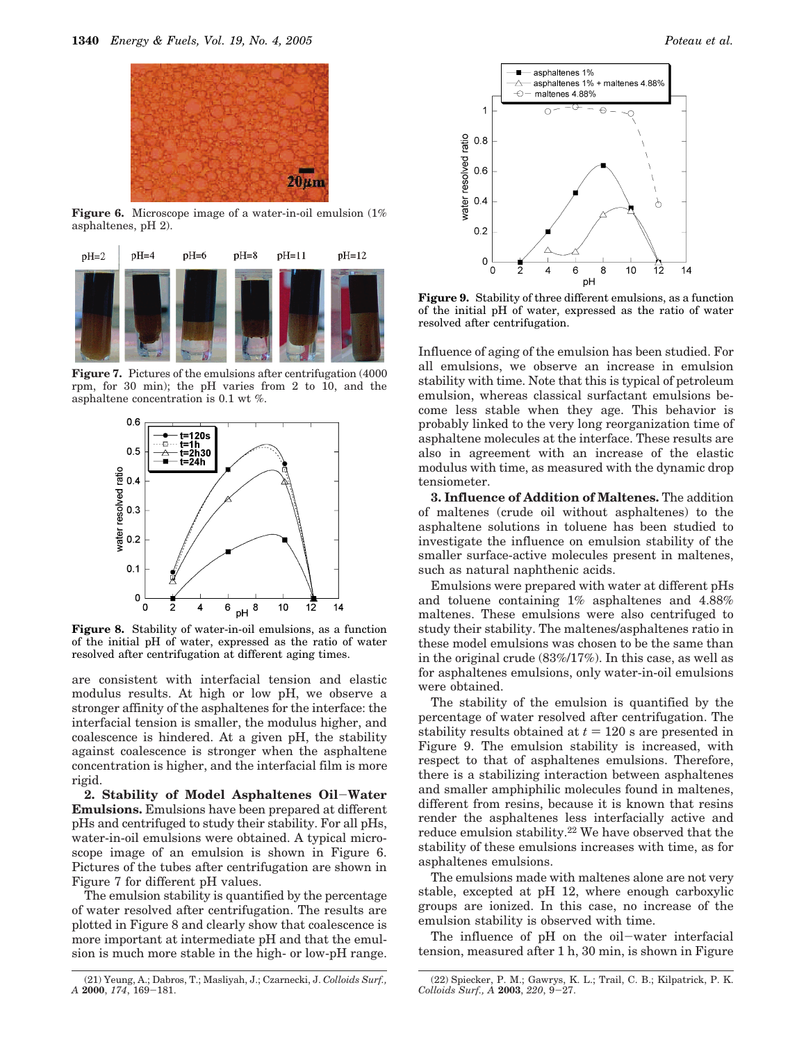

**Figure 6.** Microscope image of a water-in-oil emulsion (1% asphaltenes, pH 2).



**Figure 7.** Pictures of the emulsions after centrifugation (4000) rpm, for 30 min); the pH varies from 2 to 10, and the asphaltene concentration is 0.1 wt %.



**Figure 8.** Stability of water-in-oil emulsions, as a function of the initial pH of water, expressed as the ratio of water resolved after centrifugation at different aging times.

are consistent with interfacial tension and elastic modulus results. At high or low pH, we observe a stronger affinity of the asphaltenes for the interface: the interfacial tension is smaller, the modulus higher, and coalescence is hindered. At a given pH, the stability against coalescence is stronger when the asphaltene concentration is higher, and the interfacial film is more rigid.

**2. Stability of Model Asphaltenes Oil**-**Water Emulsions.** Emulsions have been prepared at different pHs and centrifuged to study their stability. For all pHs, water-in-oil emulsions were obtained. A typical microscope image of an emulsion is shown in Figure 6. Pictures of the tubes after centrifugation are shown in Figure 7 for different pH values.

The emulsion stability is quantified by the percentage of water resolved after centrifugation. The results are plotted in Figure 8 and clearly show that coalescence is more important at intermediate pH and that the emulsion is much more stable in the high- or low-pH range.



**Figure 9.** Stability of three different emulsions, as a function of the initial pH of water, expressed as the ratio of water resolved after centrifugation.

Influence of aging of the emulsion has been studied. For all emulsions, we observe an increase in emulsion stability with time. Note that this is typical of petroleum emulsion, whereas classical surfactant emulsions become less stable when they age. This behavior is probably linked to the very long reorganization time of asphaltene molecules at the interface. These results are also in agreement with an increase of the elastic modulus with time, as measured with the dynamic drop tensiometer.

**3. Influence of Addition of Maltenes.** The addition of maltenes (crude oil without asphaltenes) to the asphaltene solutions in toluene has been studied to investigate the influence on emulsion stability of the smaller surface-active molecules present in maltenes, such as natural naphthenic acids.

Emulsions were prepared with water at different pHs and toluene containing 1% asphaltenes and 4.88% maltenes. These emulsions were also centrifuged to study their stability. The maltenes/asphaltenes ratio in these model emulsions was chosen to be the same than in the original crude (83%/17%). In this case, as well as for asphaltenes emulsions, only water-in-oil emulsions were obtained.

The stability of the emulsion is quantified by the percentage of water resolved after centrifugation. The stability results obtained at  $t = 120$  s are presented in Figure 9. The emulsion stability is increased, with respect to that of asphaltenes emulsions. Therefore, there is a stabilizing interaction between asphaltenes and smaller amphiphilic molecules found in maltenes, different from resins, because it is known that resins render the asphaltenes less interfacially active and reduce emulsion stability.22 We have observed that the stability of these emulsions increases with time, as for asphaltenes emulsions.

The emulsions made with maltenes alone are not very stable, excepted at pH 12, where enough carboxylic groups are ionized. In this case, no increase of the emulsion stability is observed with time.

The influence of pH on the oil-water interfacial tension, measured after 1 h, 30 min, is shown in Figure

<sup>(21)</sup> Yeung, A.; Dabros, T.; Masliyah, J.; Czarnecki, J. *Colloids Surf., <sup>A</sup>* **<sup>2000</sup>**, *<sup>174</sup>*, 169-181.

<sup>(22)</sup> Spiecker, P. M.; Gawrys, K. L.; Trail, C. B.; Kilpatrick, P. K. *Colloids Surf., A* **<sup>2003</sup>**, *<sup>220</sup>*, 9-27.